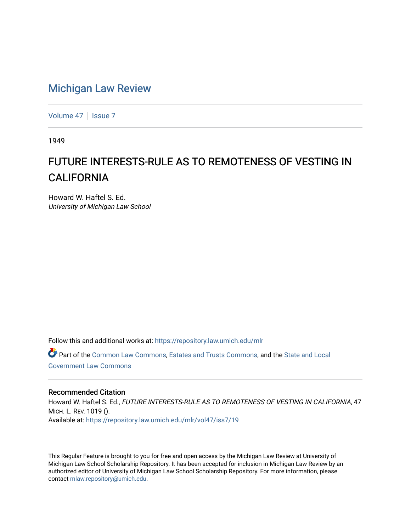## [Michigan Law Review](https://repository.law.umich.edu/mlr)

[Volume 47](https://repository.law.umich.edu/mlr/vol47) | [Issue 7](https://repository.law.umich.edu/mlr/vol47/iss7)

1949

## FUTURE INTERESTS-RULE AS TO REMOTENESS OF VESTING IN **CALIFORNIA**

Howard W. Haftel S. Ed. University of Michigan Law School

Follow this and additional works at: [https://repository.law.umich.edu/mlr](https://repository.law.umich.edu/mlr?utm_source=repository.law.umich.edu%2Fmlr%2Fvol47%2Fiss7%2F19&utm_medium=PDF&utm_campaign=PDFCoverPages) 

Part of the [Common Law Commons,](http://network.bepress.com/hgg/discipline/1120?utm_source=repository.law.umich.edu%2Fmlr%2Fvol47%2Fiss7%2F19&utm_medium=PDF&utm_campaign=PDFCoverPages) [Estates and Trusts Commons,](http://network.bepress.com/hgg/discipline/906?utm_source=repository.law.umich.edu%2Fmlr%2Fvol47%2Fiss7%2F19&utm_medium=PDF&utm_campaign=PDFCoverPages) and the [State and Local](http://network.bepress.com/hgg/discipline/879?utm_source=repository.law.umich.edu%2Fmlr%2Fvol47%2Fiss7%2F19&utm_medium=PDF&utm_campaign=PDFCoverPages)  [Government Law Commons](http://network.bepress.com/hgg/discipline/879?utm_source=repository.law.umich.edu%2Fmlr%2Fvol47%2Fiss7%2F19&utm_medium=PDF&utm_campaign=PDFCoverPages) 

## Recommended Citation

Howard W. Haftel S. Ed., FUTURE INTERESTS-RULE AS TO REMOTENESS OF VESTING IN CALIFORNIA, 47 MICH. L. REV. 1019 (). Available at: [https://repository.law.umich.edu/mlr/vol47/iss7/19](https://repository.law.umich.edu/mlr/vol47/iss7/19?utm_source=repository.law.umich.edu%2Fmlr%2Fvol47%2Fiss7%2F19&utm_medium=PDF&utm_campaign=PDFCoverPages) 

This Regular Feature is brought to you for free and open access by the Michigan Law Review at University of Michigan Law School Scholarship Repository. It has been accepted for inclusion in Michigan Law Review by an authorized editor of University of Michigan Law School Scholarship Repository. For more information, please contact [mlaw.repository@umich.edu](mailto:mlaw.repository@umich.edu).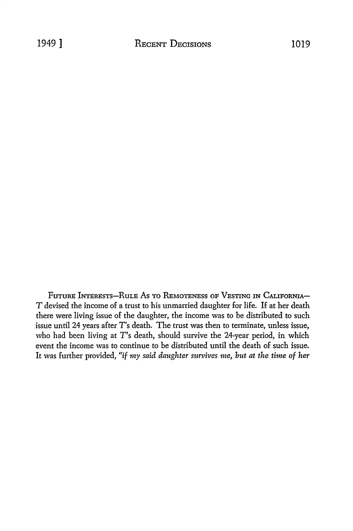FUTURE INTERESTS-RULE AS TO REMOTENESS OF VESTING IN CALIFORNIA-*T* devised the income of a trust to his unmarried daughter for life. If at her death there were living issue of the daughter, the income was to be distributed to such issue until 24 years after T's death. The trust was then to terminate, unless issue, who had been living at T's death, should survive the 24-year period, in which event the income was to continue to be distributed until the death of such issue. It was further provided, *"if* my *said daughter survives me, but at the time of her*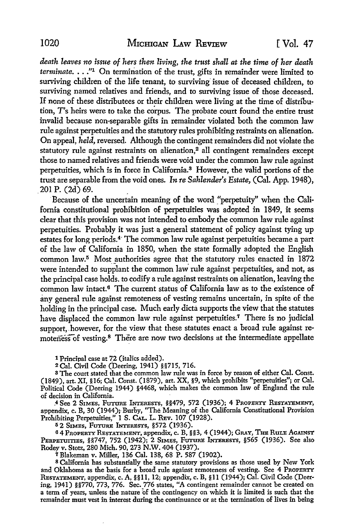*death leaves no issue of hers then living, the trust shall at the time of her death terminate .* ... "1 On termination of the trust, gifts in remainder were limited to surviving children of the life tenant, to surviving issue of deceased children, to surviving named relatives and friends, and to surviving issue of those deceased. If none of these distributees or their children were living at the time of distribution, T's heirs were to take the co'rpus. The probate court found the entire trust invalid because non-separable gifts in remainder violated both the common law rule against perpetuities and the statutory rules prohibiting restraints on alienation. On appeal, *held,* reversed. Although the contingent remainders did not violate the statutory rule against restraints on alienation,<sup>2</sup> all contingent remainders except those to named relatives and friends were void under the common law rule against perpetuities, which is in force in California.3 However, the valid portions of the trust are separable from the void ones. *In re Sahlender's Estate,* (Cal. App. 1948), \_ 201 P. (2d) 69. .

Because of the uncertain meaning of the word \_"perpetuity" when the California constitutional prohibition of perpetuities was adopted in 1849, it seems clear that this provision was not intended to embody the common law rule against perpetuities. Probably it was just a general statement of policy against tying up estates for long periods.<sup>4</sup> The common law rule against perpetuities became a part of the law of California in 1850, when the state formally adopted the English common law.<sup>5</sup> Most authorities agree that the statutory rules enacted in 1872 were intended to supplant the common law rule against perpetuities, and not, as the principal case holds. to codify a rule against restraints on alienation, leaving the common law intact.6 The current status of California law as to the existence of any general rule against remoteness of vesting remains uncertain, in spite of the holding in the principal case. Much early dicta supports the view that the statutes have displaced the common law rule against perpetuities.<sup>7</sup> There is no judicial support, however, for the view that these statutes enact a broad rule against remoteness of vesting.<sup>8</sup> There are now two decisions at the intermediate appellate

1 Principal case at 72 (italics added).

2Cal. Civil Code (Deering, 1941) §§715, 716.

<sup>3</sup> The court stated that the common law rule was in force by reason of either Cal. Const. (1849), art. XI, §16; Cal. Const. (1879), art. XX, §9, which prohibits "perpetuities"; or Cal. Political Code (Deering 1944) §4468, which makes the common law of England the rule of decision in California.

\_4 See 2 SIMES, FuTURE INTERESTS, §§479, 572 (1936); 4 PROPERTY RESTATEMENT, appendix, c. B, 30 (1944); Burby, "The Meaning of the California Constitutional Provision Prohibiting Perpetuities," 1 S. CAL. L. REv. 107 (1928).

<sup>5</sup>2 SIMES, FUTURE INTERESTS, §572 (1936).

6 4 PROPERTY RESTATEMENT, appendix, c. B, §§3, 4 (1944); GRAY, THE RuLE AGAINST PERPETUITIES, §§747, 752 (1942); 2 SIMES, FUTURE INTERESTS, §565 (1936). See also Rodev v. Stotz, 280 Mich. 90, 273 N.W. 404 (1937).

7 Blakeman v. Miller, 136 Cal. 138, 68 P. 587 (1902).

8 California has substantially the same statutory provisions as those used by New York and Oklahoma as the basis for a broad rule against remoteness of vesting. See 4 PROPERTY RESTATEMENT, appendix, c. A, §§11, 12; appendix, c. B, §11 (1944); Cal. Civil Code (Deering, 1941) §§770, 773, 776. Sec. 776 states, "A contingent remainder cannot be created on a term of years, unless the nature 'of the contingency on which it is limited is such that the remainder must vest in interest during the continuance or at the termination of lives in being